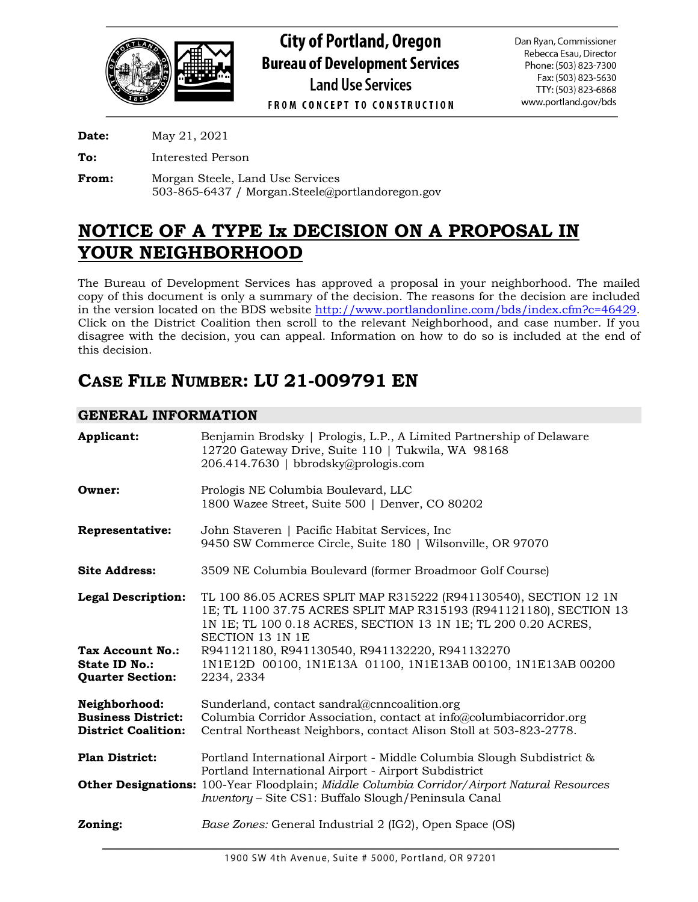

**Date:** May 21, 2021

**To:** Interested Person

**From:** Morgan Steele, Land Use Services 503-865-6437 / Morgan.Steele@portlandoregon.gov

# **NOTICE OF A TYPE Ix DECISION ON A PROPOSAL IN YOUR NEIGHBORHOOD**

The Bureau of Development Services has approved a proposal in your neighborhood. The mailed copy of this document is only a summary of the decision. The reasons for the decision are included in the version located on the BDS website [http://www.portlandonline.com/bds/index.cfm?c=46429.](http://www.portlandonline.com/bds/index.cfm?c=46429) Click on the District Coalition then scroll to the relevant Neighborhood, and case number. If you disagree with the decision, you can appeal. Information on how to do so is included at the end of this decision.

## **CASE FILE NUMBER: LU 21-009791 EN**

## **GENERAL INFORMATION**

| Applicant:                                                               | Benjamin Brodsky   Prologis, L.P., A Limited Partnership of Delaware<br>12720 Gateway Drive, Suite 110   Tukwila, WA 98168<br>206.414.7630   bbrodsky@prologis.com                                                                                                                   |
|--------------------------------------------------------------------------|--------------------------------------------------------------------------------------------------------------------------------------------------------------------------------------------------------------------------------------------------------------------------------------|
| Owner:                                                                   | Prologis NE Columbia Boulevard, LLC<br>1800 Wazee Street, Suite 500   Denver, CO 80202                                                                                                                                                                                               |
| <b>Representative:</b>                                                   | John Staveren   Pacific Habitat Services, Inc.<br>9450 SW Commerce Circle, Suite 180   Wilsonville, OR 97070                                                                                                                                                                         |
| <b>Site Address:</b>                                                     | 3509 NE Columbia Boulevard (former Broadmoor Golf Course)                                                                                                                                                                                                                            |
| <b>Legal Description:</b>                                                | TL 100 86.05 ACRES SPLIT MAP R315222 (R941130540), SECTION 12 1N<br>1E; TL 1100 37.75 ACRES SPLIT MAP R315193 (R941121180), SECTION 13<br>1N 1E; TL 100 0.18 ACRES, SECTION 13 1N 1E; TL 200 0.20 ACRES,<br><b>SECTION 13 1N 1E</b>                                                  |
| <b>Tax Account No.:</b><br>State ID No.:<br><b>Quarter Section:</b>      | R941121180, R941130540, R941132220, R941132270<br>1N1E12D 00100, 1N1E13A 01100, 1N1E13AB 00100, 1N1E13AB 00200<br>2234, 2334                                                                                                                                                         |
| Neighborhood:<br><b>Business District:</b><br><b>District Coalition:</b> | Sunderland, contact sandral@cnncoalition.org<br>Columbia Corridor Association, contact at info@columbiacorridor.org<br>Central Northeast Neighbors, contact Alison Stoll at 503-823-2778.                                                                                            |
| <b>Plan District:</b>                                                    | Portland International Airport - Middle Columbia Slough Subdistrict &<br>Portland International Airport - Airport Subdistrict<br>Other Designations: 100-Year Floodplain; Middle Columbia Corridor/Airport Natural Resources<br>Inventory - Site CS1: Buffalo Slough/Peninsula Canal |
| Zoning:                                                                  | Base Zones: General Industrial 2 (IG2), Open Space (OS)                                                                                                                                                                                                                              |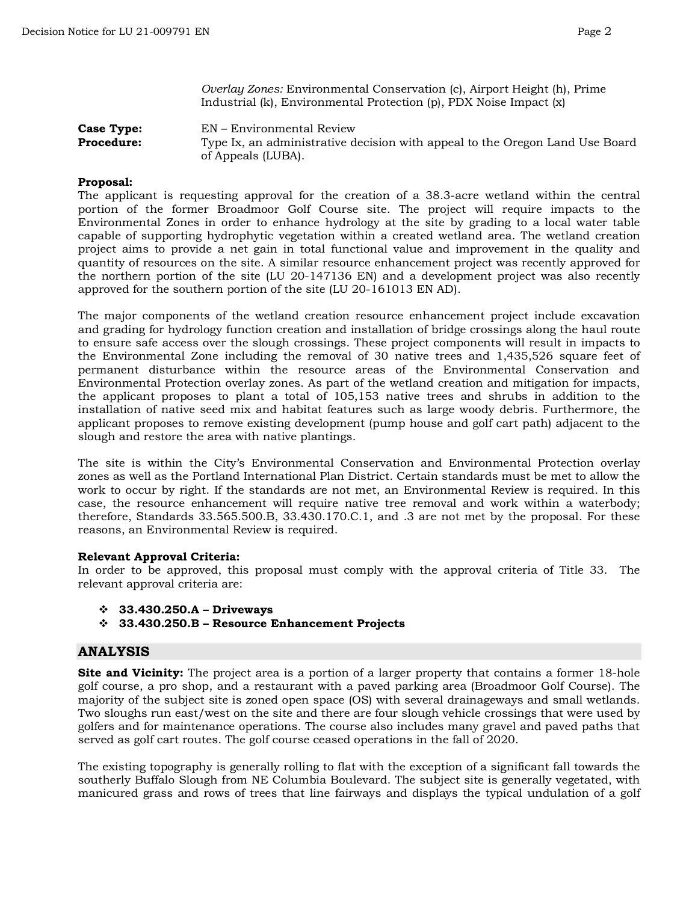*Overlay Zones:* Environmental Conservation (c), Airport Height (h), Prime Industrial (k), Environmental Protection (p), PDX Noise Impact (x)

**Case Type:** EN – Environmental Review **Procedure:** Type Ix, an administrative decision with appeal to the Oregon Land Use Board of Appeals (LUBA).

### **Proposal:**

The applicant is requesting approval for the creation of a 38.3-acre wetland within the central portion of the former Broadmoor Golf Course site. The project will require impacts to the Environmental Zones in order to enhance hydrology at the site by grading to a local water table capable of supporting hydrophytic vegetation within a created wetland area. The wetland creation project aims to provide a net gain in total functional value and improvement in the quality and quantity of resources on the site. A similar resource enhancement project was recently approved for the northern portion of the site (LU 20-147136 EN) and a development project was also recently approved for the southern portion of the site (LU 20-161013 EN AD).

The major components of the wetland creation resource enhancement project include excavation and grading for hydrology function creation and installation of bridge crossings along the haul route to ensure safe access over the slough crossings. These project components will result in impacts to the Environmental Zone including the removal of 30 native trees and 1,435,526 square feet of permanent disturbance within the resource areas of the Environmental Conservation and Environmental Protection overlay zones. As part of the wetland creation and mitigation for impacts, the applicant proposes to plant a total of 105,153 native trees and shrubs in addition to the installation of native seed mix and habitat features such as large woody debris. Furthermore, the applicant proposes to remove existing development (pump house and golf cart path) adjacent to the slough and restore the area with native plantings.

The site is within the City's Environmental Conservation and Environmental Protection overlay zones as well as the Portland International Plan District. Certain standards must be met to allow the work to occur by right. If the standards are not met, an Environmental Review is required. In this case, the resource enhancement will require native tree removal and work within a waterbody; therefore, Standards 33.565.500.B, 33.430.170.C.1, and .3 are not met by the proposal. For these reasons, an Environmental Review is required.

#### **Relevant Approval Criteria:**

In order to be approved, this proposal must comply with the approval criteria of Title 33. The relevant approval criteria are:

- **33.430.250.A – Driveways**
- **33.430.250.B – Resource Enhancement Projects**

## **ANALYSIS**

**Site and Vicinity:** The project area is a portion of a larger property that contains a former 18-hole golf course, a pro shop, and a restaurant with a paved parking area (Broadmoor Golf Course). The majority of the subject site is zoned open space (OS) with several drainageways and small wetlands. Two sloughs run east/west on the site and there are four slough vehicle crossings that were used by golfers and for maintenance operations. The course also includes many gravel and paved paths that served as golf cart routes. The golf course ceased operations in the fall of 2020.

The existing topography is generally rolling to flat with the exception of a significant fall towards the southerly Buffalo Slough from NE Columbia Boulevard. The subject site is generally vegetated, with manicured grass and rows of trees that line fairways and displays the typical undulation of a golf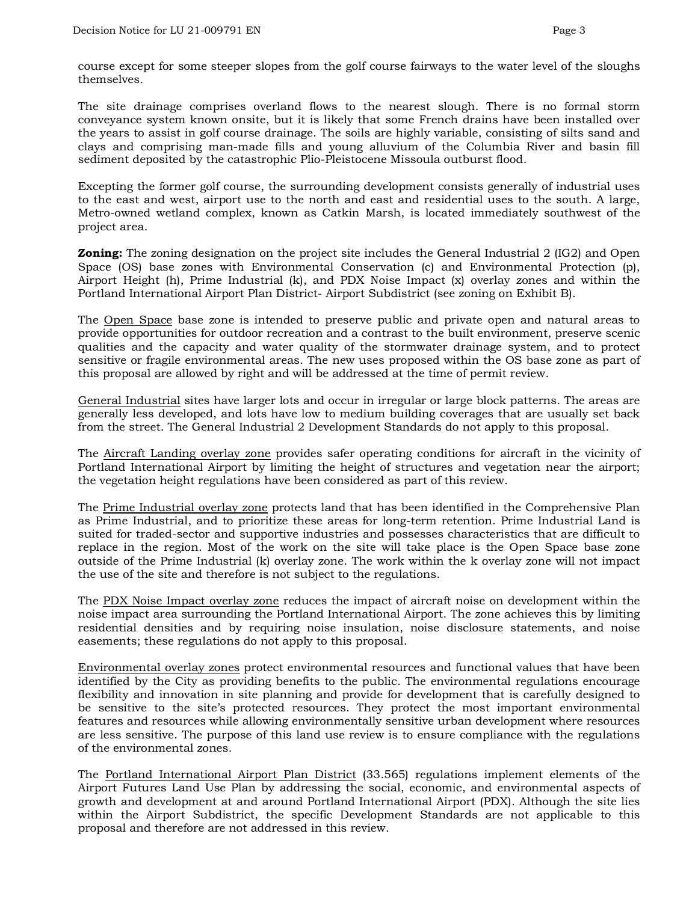course except for some steeper slopes from the golf course fairways to the water level of the sloughs themselves.

The site drainage comprises overland flows to the nearest slough. There is no formal storm conveyance system known onsite, but it is likely that some French drains have been installed over the years to assist in golf course drainage. The soils are highly variable, consisting of silts sand and clays and comprising man-made fills and young alluvium of the Columbia River and basin fill sediment deposited by the catastrophic Plio-Pleistocene Missoula outburst flood.

Excepting the former golf course, the surrounding development consists generally of industrial uses to the east and west, airport use to the north and east and residential uses to the south. A large, Metro-owned wetland complex, known as Catkin Marsh, is located immediately southwest of the project area.

**Zoning:** The zoning designation on the project site includes the General Industrial 2 (IG2) and Open Space (OS) base zones with Environmental Conservation (c) and Environmental Protection (p), Airport Height (h), Prime Industrial (k), and PDX Noise Impact (x) overlay zones and within the Portland International Airport Plan District- Airport Subdistrict (see zoning on Exhibit B).

The Open Space base zone is intended to preserve public and private open and natural areas to provide opportunities for outdoor recreation and a contrast to the built environment, preserve scenic qualities and the capacity and water quality of the stormwater drainage system, and to protect sensitive or fragile environmental areas. The new uses proposed within the OS base zone as part of this proposal are allowed by right and will be addressed at the time of permit review.

General Industrial sites have larger lots and occur in irregular or large block patterns. The areas are generally less developed, and lots have low to medium building coverages that are usually set back from the street. The General Industrial 2 Development Standards do not apply to this proposal.

The Aircraft Landing overlay zone provides safer operating conditions for aircraft in the vicinity of Portland International Airport by limiting the height of structures and vegetation near the airport; the vegetation height regulations have been considered as part of this review.

The Prime Industrial overlay zone protects land that has been identified in the Comprehensive Plan as Prime Industrial, and to prioritize these areas for long-term retention. Prime Industrial Land is suited for traded-sector and supportive industries and possesses characteristics that are difficult to replace in the region. Most of the work on the site will take place is the Open Space base zone outside of the Prime Industrial (k) overlay zone. The work within the k overlay zone will not impact the use of the site and therefore is not subject to the regulations.

The PDX Noise Impact overlay zone reduces the impact of aircraft noise on development within the noise impact area surrounding the Portland International Airport. The zone achieves this by limiting residential densities and by requiring noise insulation, noise disclosure statements, and noise easements; these regulations do not apply to this proposal.

Environmental overlay zones protect environmental resources and functional values that have been identified by the City as providing benefits to the public. The environmental regulations encourage flexibility and innovation in site planning and provide for development that is carefully designed to be sensitive to the site's protected resources. They protect the most important environmental features and resources while allowing environmentally sensitive urban development where resources are less sensitive. The purpose of this land use review is to ensure compliance with the regulations of the environmental zones.

The Portland International Airport Plan District (33.565) regulations implement elements of the Airport Futures Land Use Plan by addressing the social, economic, and environmental aspects of growth and development at and around Portland International Airport (PDX). Although the site lies within the Airport Subdistrict, the specific Development Standards are not applicable to this proposal and therefore are not addressed in this review.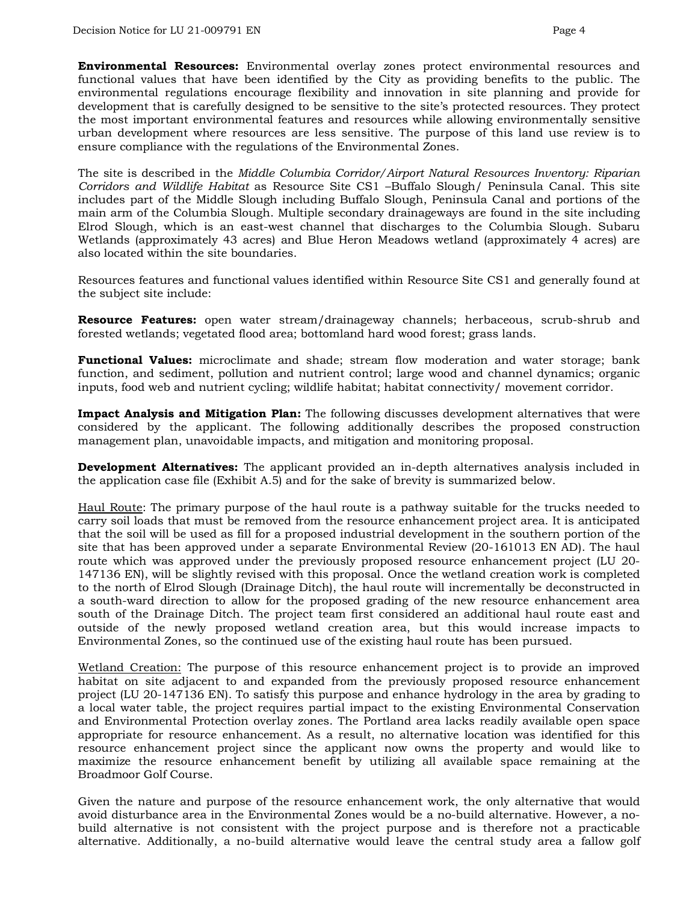**Environmental Resources:** Environmental overlay zones protect environmental resources and functional values that have been identified by the City as providing benefits to the public. The environmental regulations encourage flexibility and innovation in site planning and provide for development that is carefully designed to be sensitive to the site's protected resources. They protect the most important environmental features and resources while allowing environmentally sensitive urban development where resources are less sensitive. The purpose of this land use review is to ensure compliance with the regulations of the Environmental Zones.

The site is described in the *Middle Columbia Corridor/Airport Natural Resources Inventory: Riparian Corridors and Wildlife Habitat* as Resource Site CS1 –Buffalo Slough/ Peninsula Canal. This site includes part of the Middle Slough including Buffalo Slough, Peninsula Canal and portions of the main arm of the Columbia Slough. Multiple secondary drainageways are found in the site including Elrod Slough, which is an east-west channel that discharges to the Columbia Slough. Subaru Wetlands (approximately 43 acres) and Blue Heron Meadows wetland (approximately 4 acres) are also located within the site boundaries.

Resources features and functional values identified within Resource Site CS1 and generally found at the subject site include:

**Resource Features:** open water stream/drainageway channels; herbaceous, scrub-shrub and forested wetlands; vegetated flood area; bottomland hard wood forest; grass lands.

**Functional Values:** microclimate and shade; stream flow moderation and water storage; bank function, and sediment, pollution and nutrient control; large wood and channel dynamics; organic inputs, food web and nutrient cycling; wildlife habitat; habitat connectivity/ movement corridor.

**Impact Analysis and Mitigation Plan:** The following discusses development alternatives that were considered by the applicant. The following additionally describes the proposed construction management plan, unavoidable impacts, and mitigation and monitoring proposal.

**Development Alternatives:** The applicant provided an in-depth alternatives analysis included in the application case file (Exhibit A.5) and for the sake of brevity is summarized below.

Haul Route: The primary purpose of the haul route is a pathway suitable for the trucks needed to carry soil loads that must be removed from the resource enhancement project area. It is anticipated that the soil will be used as fill for a proposed industrial development in the southern portion of the site that has been approved under a separate Environmental Review (20-161013 EN AD). The haul route which was approved under the previously proposed resource enhancement project (LU 20- 147136 EN), will be slightly revised with this proposal. Once the wetland creation work is completed to the north of Elrod Slough (Drainage Ditch), the haul route will incrementally be deconstructed in a south-ward direction to allow for the proposed grading of the new resource enhancement area south of the Drainage Ditch. The project team first considered an additional haul route east and outside of the newly proposed wetland creation area, but this would increase impacts to Environmental Zones, so the continued use of the existing haul route has been pursued.

Wetland Creation: The purpose of this resource enhancement project is to provide an improved habitat on site adjacent to and expanded from the previously proposed resource enhancement project (LU 20-147136 EN). To satisfy this purpose and enhance hydrology in the area by grading to a local water table, the project requires partial impact to the existing Environmental Conservation and Environmental Protection overlay zones. The Portland area lacks readily available open space appropriate for resource enhancement. As a result, no alternative location was identified for this resource enhancement project since the applicant now owns the property and would like to maximize the resource enhancement benefit by utilizing all available space remaining at the Broadmoor Golf Course.

Given the nature and purpose of the resource enhancement work, the only alternative that would avoid disturbance area in the Environmental Zones would be a no-build alternative. However, a nobuild alternative is not consistent with the project purpose and is therefore not a practicable alternative. Additionally, a no-build alternative would leave the central study area a fallow golf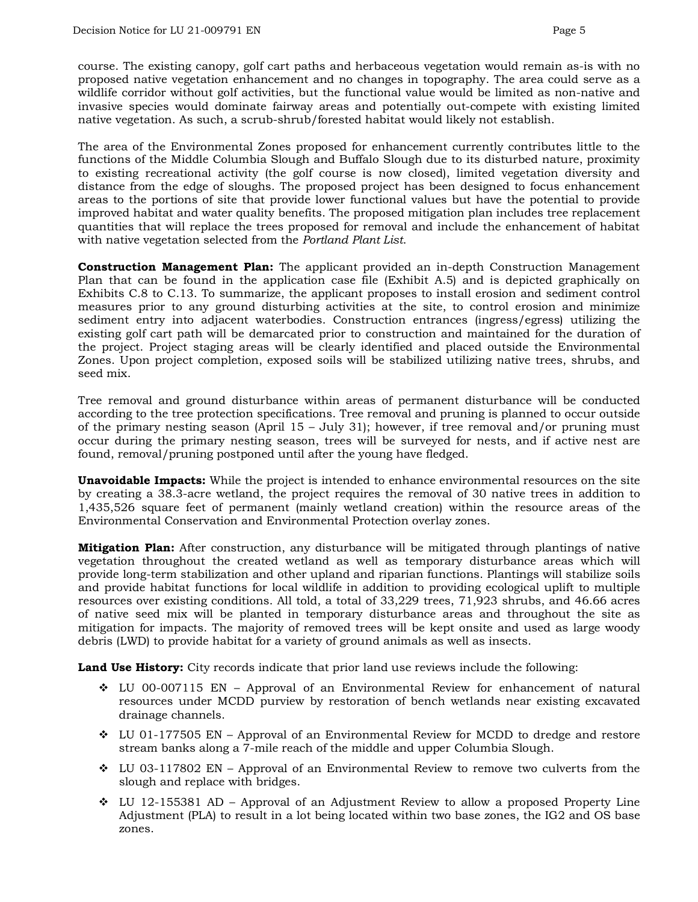course. The existing canopy, golf cart paths and herbaceous vegetation would remain as-is with no proposed native vegetation enhancement and no changes in topography. The area could serve as a wildlife corridor without golf activities, but the functional value would be limited as non-native and invasive species would dominate fairway areas and potentially out-compete with existing limited native vegetation. As such, a scrub-shrub/forested habitat would likely not establish.

The area of the Environmental Zones proposed for enhancement currently contributes little to the functions of the Middle Columbia Slough and Buffalo Slough due to its disturbed nature, proximity to existing recreational activity (the golf course is now closed), limited vegetation diversity and distance from the edge of sloughs. The proposed project has been designed to focus enhancement areas to the portions of site that provide lower functional values but have the potential to provide improved habitat and water quality benefits. The proposed mitigation plan includes tree replacement quantities that will replace the trees proposed for removal and include the enhancement of habitat with native vegetation selected from the *Portland Plant List*.

**Construction Management Plan:** The applicant provided an in-depth Construction Management Plan that can be found in the application case file (Exhibit A.5) and is depicted graphically on Exhibits C.8 to C.13. To summarize, the applicant proposes to install erosion and sediment control measures prior to any ground disturbing activities at the site, to control erosion and minimize sediment entry into adjacent waterbodies. Construction entrances (ingress/egress) utilizing the existing golf cart path will be demarcated prior to construction and maintained for the duration of the project. Project staging areas will be clearly identified and placed outside the Environmental Zones. Upon project completion, exposed soils will be stabilized utilizing native trees, shrubs, and seed mix.

Tree removal and ground disturbance within areas of permanent disturbance will be conducted according to the tree protection specifications. Tree removal and pruning is planned to occur outside of the primary nesting season (April 15 – July 31); however, if tree removal and/or pruning must occur during the primary nesting season, trees will be surveyed for nests, and if active nest are found, removal/pruning postponed until after the young have fledged.

**Unavoidable Impacts:** While the project is intended to enhance environmental resources on the site by creating a 38.3-acre wetland, the project requires the removal of 30 native trees in addition to 1,435,526 square feet of permanent (mainly wetland creation) within the resource areas of the Environmental Conservation and Environmental Protection overlay zones.

**Mitigation Plan:** After construction, any disturbance will be mitigated through plantings of native vegetation throughout the created wetland as well as temporary disturbance areas which will provide long-term stabilization and other upland and riparian functions. Plantings will stabilize soils and provide habitat functions for local wildlife in addition to providing ecological uplift to multiple resources over existing conditions. All told, a total of 33,229 trees, 71,923 shrubs, and 46.66 acres of native seed mix will be planted in temporary disturbance areas and throughout the site as mitigation for impacts. The majority of removed trees will be kept onsite and used as large woody debris (LWD) to provide habitat for a variety of ground animals as well as insects.

**Land Use History:** City records indicate that prior land use reviews include the following:

- $\div$  LU 00-007115 EN Approval of an Environmental Review for enhancement of natural resources under MCDD purview by restoration of bench wetlands near existing excavated drainage channels.
- $\div$  LU 01-177505 EN Approval of an Environmental Review for MCDD to dredge and restore stream banks along a 7-mile reach of the middle and upper Columbia Slough.
- $\div$  LU 03-117802 EN Approval of an Environmental Review to remove two culverts from the slough and replace with bridges.
- $\div$  LU 12-155381 AD Approval of an Adjustment Review to allow a proposed Property Line Adjustment (PLA) to result in a lot being located within two base zones, the IG2 and OS base zones.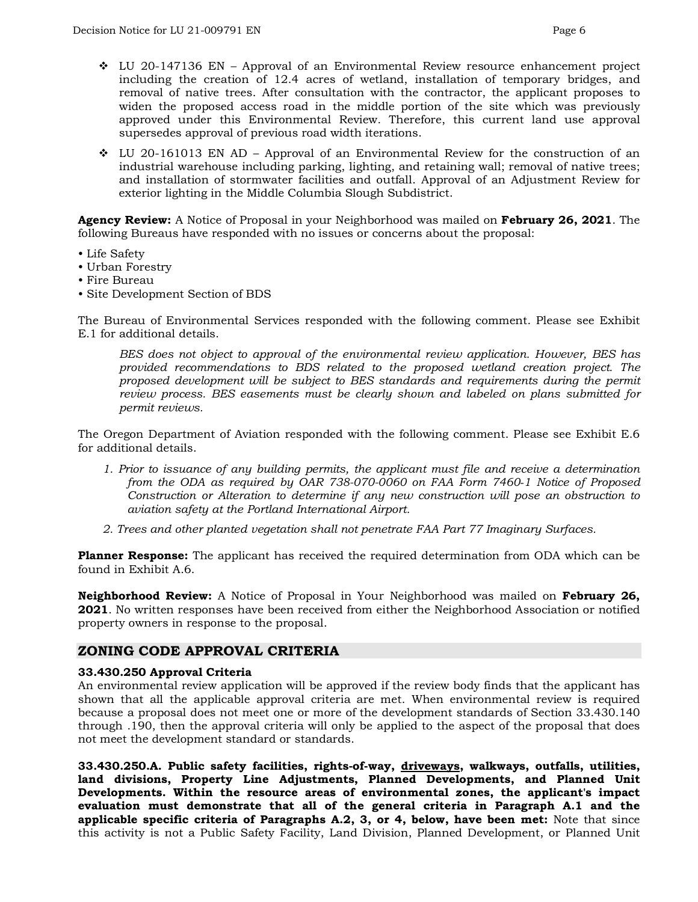- $\div$  LU 20-147136 EN Approval of an Environmental Review resource enhancement project including the creation of 12.4 acres of wetland, installation of temporary bridges, and removal of native trees. After consultation with the contractor, the applicant proposes to widen the proposed access road in the middle portion of the site which was previously approved under this Environmental Review. Therefore, this current land use approval supersedes approval of previous road width iterations.
- $\div$  LU 20-161013 EN AD Approval of an Environmental Review for the construction of an industrial warehouse including parking, lighting, and retaining wall; removal of native trees; and installation of stormwater facilities and outfall. Approval of an Adjustment Review for exterior lighting in the Middle Columbia Slough Subdistrict.

**Agency Review:** A Notice of Proposal in your Neighborhood was mailed on **February 26, 2021**. The following Bureaus have responded with no issues or concerns about the proposal:

- Life Safety
- Urban Forestry
- Fire Bureau
- Site Development Section of BDS

The Bureau of Environmental Services responded with the following comment. Please see Exhibit E.1 for additional details.

*BES does not object to approval of the environmental review application. However, BES has provided recommendations to BDS related to the proposed wetland creation project. The proposed development will be subject to BES standards and requirements during the permit review process. BES easements must be clearly shown and labeled on plans submitted for permit reviews.*

The Oregon Department of Aviation responded with the following comment. Please see Exhibit E.6 for additional details.

- *1. Prior to issuance of any building permits, the applicant must file and receive a determination from the ODA as required by OAR 738-070-0060 on FAA Form 7460‐1 Notice of Proposed Construction or Alteration to determine if any new construction will pose an obstruction to aviation safety at the Portland International Airport.*
- *2. Trees and other planted vegetation shall not penetrate FAA Part 77 Imaginary Surfaces.*

**Planner Response:** The applicant has received the required determination from ODA which can be found in Exhibit A.6.

**Neighborhood Review:** A Notice of Proposal in Your Neighborhood was mailed on **February 26, 2021**. No written responses have been received from either the Neighborhood Association or notified property owners in response to the proposal.

## **ZONING CODE APPROVAL CRITERIA**

#### **33.430.250 Approval Criteria**

An environmental review application will be approved if the review body finds that the applicant has shown that all the applicable approval criteria are met. When environmental review is required because a proposal does not meet one or more of the development standards of Section 33.430.140 through .190, then the approval criteria will only be applied to the aspect of the proposal that does not meet the development standard or standards.

**33.430.250.A. Public safety facilities, rights-of-way, driveways, walkways, outfalls, utilities, land divisions, Property Line Adjustments, Planned Developments, and Planned Unit Developments. Within the resource areas of environmental zones, the applicant's impact evaluation must demonstrate that all of the general criteria in Paragraph A.1 and the applicable specific criteria of Paragraphs A.2, 3, or 4, below, have been met:** Note that since this activity is not a Public Safety Facility, Land Division, Planned Development, or Planned Unit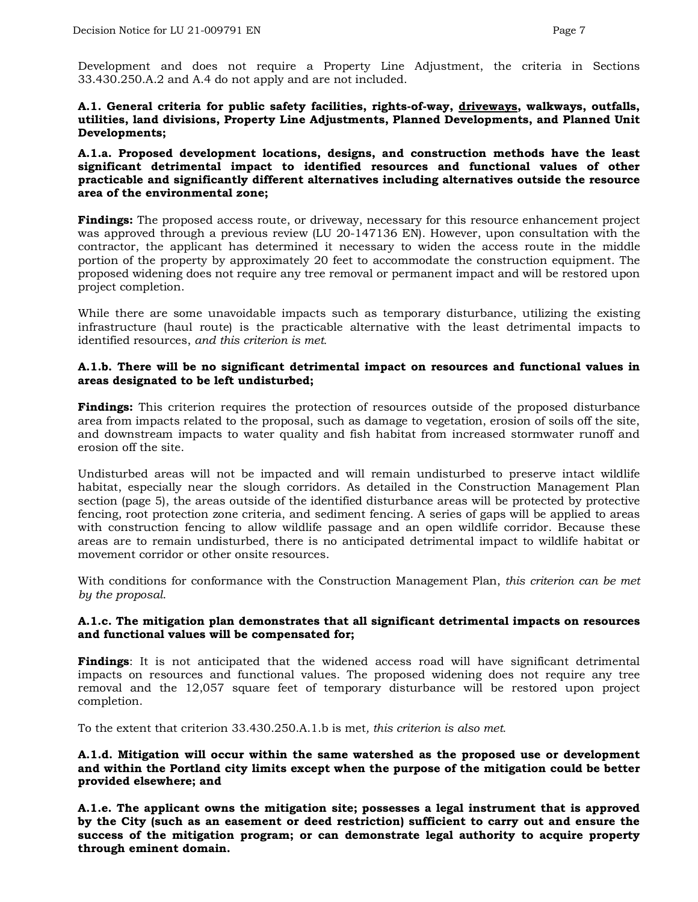Development and does not require a Property Line Adjustment, the criteria in Sections 33.430.250.A.2 and A.4 do not apply and are not included.

#### **A.1. General criteria for public safety facilities, rights-of-way, driveways, walkways, outfalls, utilities, land divisions, Property Line Adjustments, Planned Developments, and Planned Unit Developments;**

#### **A.1.a. Proposed development locations, designs, and construction methods have the least significant detrimental impact to identified resources and functional values of other practicable and significantly different alternatives including alternatives outside the resource area of the environmental zone;**

**Findings:** The proposed access route, or driveway, necessary for this resource enhancement project was approved through a previous review (LU 20-147136 EN). However, upon consultation with the contractor, the applicant has determined it necessary to widen the access route in the middle portion of the property by approximately 20 feet to accommodate the construction equipment. The proposed widening does not require any tree removal or permanent impact and will be restored upon project completion.

While there are some unavoidable impacts such as temporary disturbance, utilizing the existing infrastructure (haul route) is the practicable alternative with the least detrimental impacts to identified resources, *and this criterion is met.*

#### **A.1.b. There will be no significant detrimental impact on resources and functional values in areas designated to be left undisturbed;**

**Findings:** This criterion requires the protection of resources outside of the proposed disturbance area from impacts related to the proposal, such as damage to vegetation, erosion of soils off the site, and downstream impacts to water quality and fish habitat from increased stormwater runoff and erosion off the site.

Undisturbed areas will not be impacted and will remain undisturbed to preserve intact wildlife habitat, especially near the slough corridors. As detailed in the Construction Management Plan section (page 5), the areas outside of the identified disturbance areas will be protected by protective fencing, root protection zone criteria, and sediment fencing. A series of gaps will be applied to areas with construction fencing to allow wildlife passage and an open wildlife corridor. Because these areas are to remain undisturbed, there is no anticipated detrimental impact to wildlife habitat or movement corridor or other onsite resources.

With conditions for conformance with the Construction Management Plan, *this criterion can be met by the proposal*.

#### **A.1.c. The mitigation plan demonstrates that all significant detrimental impacts on resources and functional values will be compensated for;**

**Findings**: It is not anticipated that the widened access road will have significant detrimental impacts on resources and functional values. The proposed widening does not require any tree removal and the 12,057 square feet of temporary disturbance will be restored upon project completion.

To the extent that criterion 33.430.250.A.1.b is met*, this criterion is also met.*

#### **A.1.d. Mitigation will occur within the same watershed as the proposed use or development and within the Portland city limits except when the purpose of the mitigation could be better provided elsewhere; and**

**A.1.e. The applicant owns the mitigation site; possesses a legal instrument that is approved by the City (such as an easement or deed restriction) sufficient to carry out and ensure the success of the mitigation program; or can demonstrate legal authority to acquire property through eminent domain.**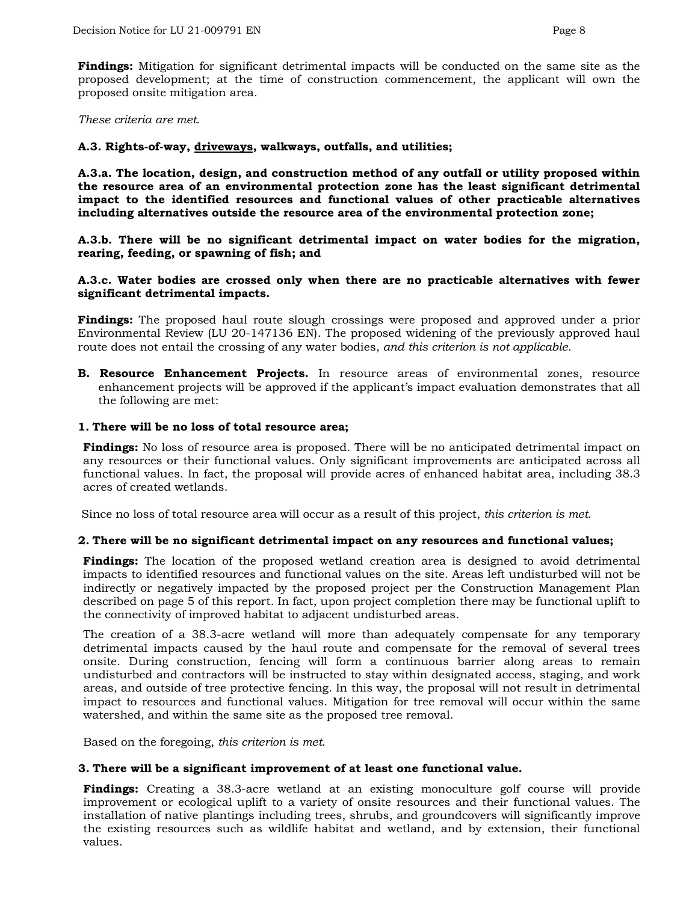**Findings:** Mitigation for significant detrimental impacts will be conducted on the same site as the proposed development; at the time of construction commencement, the applicant will own the proposed onsite mitigation area.

*These criteria are met*.

#### **A.3. Rights-of-way, driveways, walkways, outfalls, and utilities;**

**A.3.a. The location, design, and construction method of any outfall or utility proposed within the resource area of an environmental protection zone has the least significant detrimental impact to the identified resources and functional values of other practicable alternatives including alternatives outside the resource area of the environmental protection zone;**

**A.3.b. There will be no significant detrimental impact on water bodies for the migration, rearing, feeding, or spawning of fish; and**

#### **A.3.c. Water bodies are crossed only when there are no practicable alternatives with fewer significant detrimental impacts.**

**Findings:** The proposed haul route slough crossings were proposed and approved under a prior Environmental Review (LU 20-147136 EN). The proposed widening of the previously approved haul route does not entail the crossing of any water bodies, *and this criterion is not applicable.*

**B. Resource Enhancement Projects.** In resource areas of environmental zones, resource enhancement projects will be approved if the applicant's impact evaluation demonstrates that all the following are met:

#### **1. There will be no loss of total resource area;**

**Findings:** No loss of resource area is proposed. There will be no anticipated detrimental impact on any resources or their functional values. Only significant improvements are anticipated across all functional values. In fact, the proposal will provide acres of enhanced habitat area, including 38.3 acres of created wetlands.

Since no loss of total resource area will occur as a result of this project, *this criterion is met*.

#### **2. There will be no significant detrimental impact on any resources and functional values;**

**Findings:** The location of the proposed wetland creation area is designed to avoid detrimental impacts to identified resources and functional values on the site. Areas left undisturbed will not be indirectly or negatively impacted by the proposed project per the Construction Management Plan described on page 5 of this report. In fact, upon project completion there may be functional uplift to the connectivity of improved habitat to adjacent undisturbed areas.

The creation of a 38.3-acre wetland will more than adequately compensate for any temporary detrimental impacts caused by the haul route and compensate for the removal of several trees onsite. During construction, fencing will form a continuous barrier along areas to remain undisturbed and contractors will be instructed to stay within designated access, staging, and work areas, and outside of tree protective fencing. In this way, the proposal will not result in detrimental impact to resources and functional values. Mitigation for tree removal will occur within the same watershed, and within the same site as the proposed tree removal.

Based on the foregoing, *this criterion is met*.

#### **3. There will be a significant improvement of at least one functional value.**

**Findings:** Creating a 38.3-acre wetland at an existing monoculture golf course will provide improvement or ecological uplift to a variety of onsite resources and their functional values. The installation of native plantings including trees, shrubs, and groundcovers will significantly improve the existing resources such as wildlife habitat and wetland, and by extension, their functional values.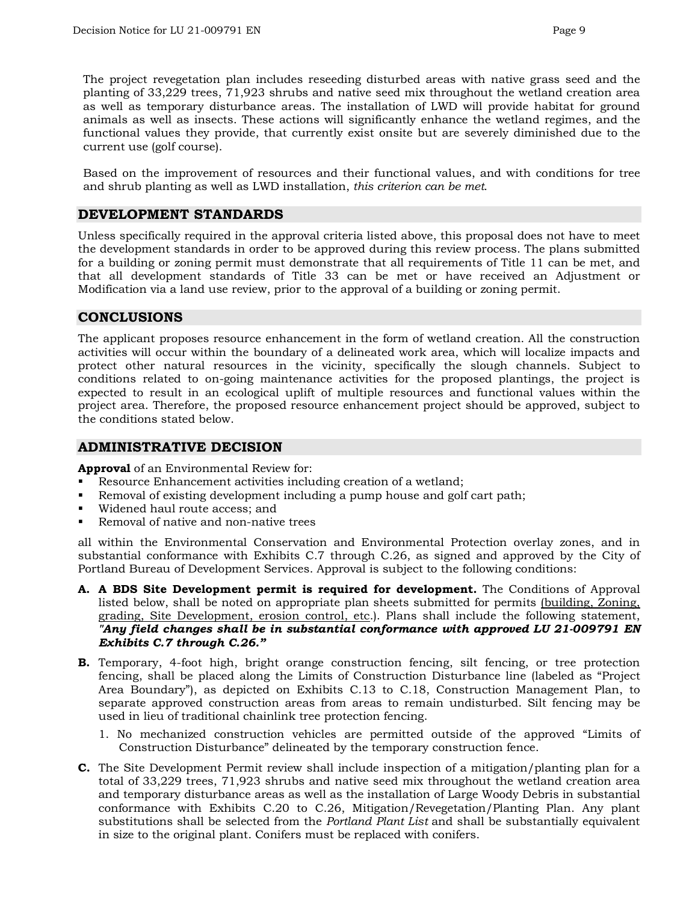The project revegetation plan includes reseeding disturbed areas with native grass seed and the planting of 33,229 trees, 71,923 shrubs and native seed mix throughout the wetland creation area as well as temporary disturbance areas. The installation of LWD will provide habitat for ground animals as well as insects. These actions will significantly enhance the wetland regimes, and the functional values they provide, that currently exist onsite but are severely diminished due to the current use (golf course).

Based on the improvement of resources and their functional values, and with conditions for tree and shrub planting as well as LWD installation, *this criterion can be met*.

### **DEVELOPMENT STANDARDS**

Unless specifically required in the approval criteria listed above, this proposal does not have to meet the development standards in order to be approved during this review process. The plans submitted for a building or zoning permit must demonstrate that all requirements of Title 11 can be met, and that all development standards of Title 33 can be met or have received an Adjustment or Modification via a land use review, prior to the approval of a building or zoning permit.

## **CONCLUSIONS**

The applicant proposes resource enhancement in the form of wetland creation. All the construction activities will occur within the boundary of a delineated work area, which will localize impacts and protect other natural resources in the vicinity, specifically the slough channels. Subject to conditions related to on-going maintenance activities for the proposed plantings, the project is expected to result in an ecological uplift of multiple resources and functional values within the project area. Therefore, the proposed resource enhancement project should be approved, subject to the conditions stated below.

## **ADMINISTRATIVE DECISION**

**Approval** of an Environmental Review for:

- Resource Enhancement activities including creation of a wetland;
- Removal of existing development including a pump house and golf cart path;
- Widened haul route access; and
- Removal of native and non-native trees

all within the Environmental Conservation and Environmental Protection overlay zones, and in substantial conformance with Exhibits C.7 through C.26, as signed and approved by the City of Portland Bureau of Development Services. Approval is subject to the following conditions:

- **A. A BDS Site Development permit is required for development.** The Conditions of Approval listed below, shall be noted on appropriate plan sheets submitted for permits (building, Zoning, grading, Site Development, erosion control, etc.). Plans shall include the following statement, *"Any field changes shall be in substantial conformance with approved LU 21-009791 EN Exhibits C.7 through C.26."*
- **B.** Temporary, 4-foot high, bright orange construction fencing, silt fencing, or tree protection fencing, shall be placed along the Limits of Construction Disturbance line (labeled as "Project Area Boundary"), as depicted on Exhibits C.13 to C.18, Construction Management Plan, to separate approved construction areas from areas to remain undisturbed. Silt fencing may be used in lieu of traditional chainlink tree protection fencing.
	- 1. No mechanized construction vehicles are permitted outside of the approved "Limits of Construction Disturbance" delineated by the temporary construction fence.
- **C.** The Site Development Permit review shall include inspection of a mitigation/planting plan for a total of 33,229 trees, 71,923 shrubs and native seed mix throughout the wetland creation area and temporary disturbance areas as well as the installation of Large Woody Debris in substantial conformance with Exhibits C.20 to C.26, Mitigation/Revegetation/Planting Plan. Any plant substitutions shall be selected from the *Portland Plant List* and shall be substantially equivalent in size to the original plant. Conifers must be replaced with conifers.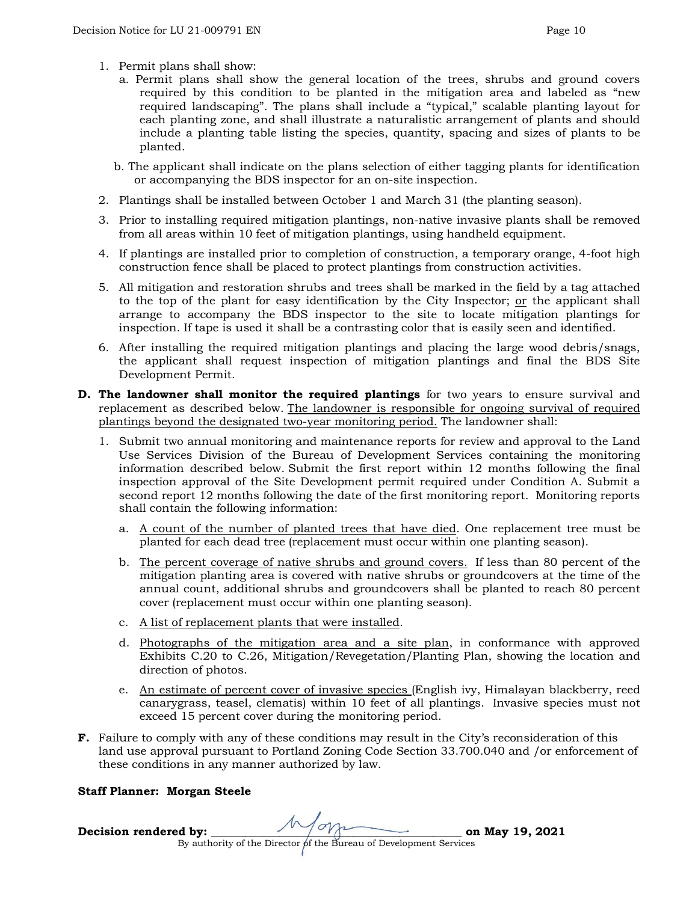- 1. Permit plans shall show:
	- a. Permit plans shall show the general location of the trees, shrubs and ground covers required by this condition to be planted in the mitigation area and labeled as "new required landscaping". The plans shall include a "typical," scalable planting layout for each planting zone, and shall illustrate a naturalistic arrangement of plants and should include a planting table listing the species, quantity, spacing and sizes of plants to be planted.
	- b. The applicant shall indicate on the plans selection of either tagging plants for identification or accompanying the BDS inspector for an on-site inspection.
- 2. Plantings shall be installed between October 1 and March 31 (the planting season).
- 3. Prior to installing required mitigation plantings, non-native invasive plants shall be removed from all areas within 10 feet of mitigation plantings, using handheld equipment.
- 4. If plantings are installed prior to completion of construction, a temporary orange, 4-foot high construction fence shall be placed to protect plantings from construction activities.
- 5. All mitigation and restoration shrubs and trees shall be marked in the field by a tag attached to the top of the plant for easy identification by the City Inspector;  $or$  the applicant shall arrange to accompany the BDS inspector to the site to locate mitigation plantings for inspection. If tape is used it shall be a contrasting color that is easily seen and identified.
- 6. After installing the required mitigation plantings and placing the large wood debris/snags, the applicant shall request inspection of mitigation plantings and final the BDS Site Development Permit.
- **D. The landowner shall monitor the required plantings** for two years to ensure survival and replacement as described below. The landowner is responsible for ongoing survival of required plantings beyond the designated two-year monitoring period. The landowner shall:
	- 1. Submit two annual monitoring and maintenance reports for review and approval to the Land Use Services Division of the Bureau of Development Services containing the monitoring information described below. Submit the first report within 12 months following the final inspection approval of the Site Development permit required under Condition A. Submit a second report 12 months following the date of the first monitoring report. Monitoring reports shall contain the following information:
		- a. A count of the number of planted trees that have died. One replacement tree must be planted for each dead tree (replacement must occur within one planting season).
		- b. The percent coverage of native shrubs and ground covers. If less than 80 percent of the mitigation planting area is covered with native shrubs or groundcovers at the time of the annual count, additional shrubs and groundcovers shall be planted to reach 80 percent cover (replacement must occur within one planting season).
		- c. A list of replacement plants that were installed.
		- d. Photographs of the mitigation area and a site plan, in conformance with approved Exhibits C.20 to C.26, Mitigation/Revegetation/Planting Plan, showing the location and direction of photos.
		- e. An estimate of percent cover of invasive species (English ivy, Himalayan blackberry, reed canarygrass, teasel, clematis) within 10 feet of all plantings. Invasive species must not exceed 15 percent cover during the monitoring period.
- **F.** Failure to comply with any of these conditions may result in the City's reconsideration of this land use approval pursuant to Portland Zoning Code Section 33.700.040 and /or enforcement of these conditions in any manner authorized by law.

#### **Staff Planner: Morgan Steele**

**Decision rendered by:**  $\sqrt{2\pi}$  on May 19, 2021 By authority of the Director of the Bureau of Development Services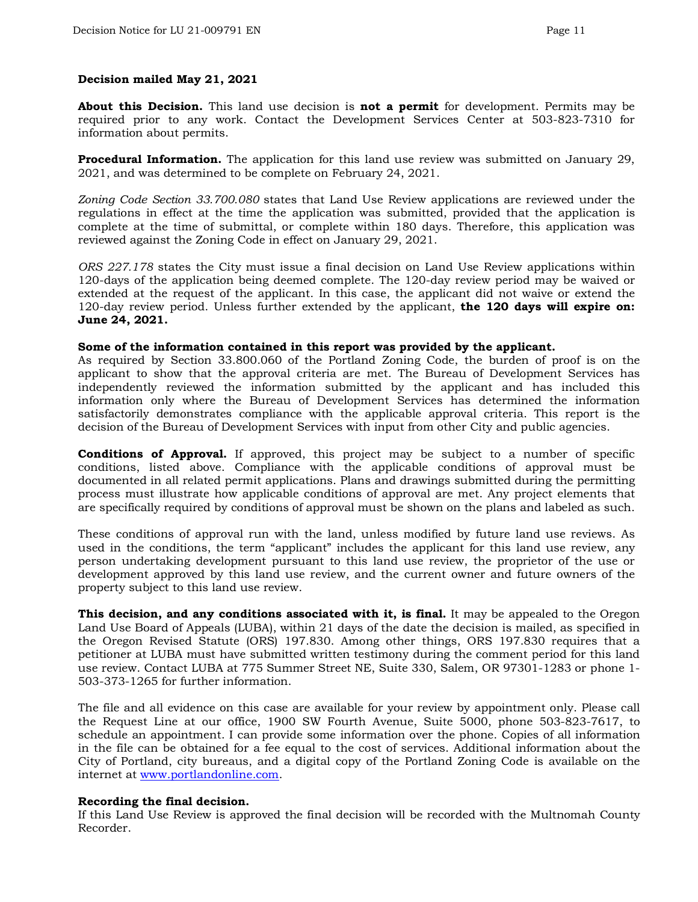#### **Decision mailed May 21, 2021**

**About this Decision.** This land use decision is **not a permit** for development. Permits may be required prior to any work. Contact the Development Services Center at 503-823-7310 for information about permits.

**Procedural Information.** The application for this land use review was submitted on January 29, 2021, and was determined to be complete on February 24, 2021.

*Zoning Code Section 33.700.080* states that Land Use Review applications are reviewed under the regulations in effect at the time the application was submitted, provided that the application is complete at the time of submittal, or complete within 180 days. Therefore, this application was reviewed against the Zoning Code in effect on January 29, 2021.

*ORS 227.178* states the City must issue a final decision on Land Use Review applications within 120-days of the application being deemed complete. The 120-day review period may be waived or extended at the request of the applicant. In this case, the applicant did not waive or extend the 120-day review period. Unless further extended by the applicant, **the 120 days will expire on: June 24, 2021.**

#### **Some of the information contained in this report was provided by the applicant.**

As required by Section 33.800.060 of the Portland Zoning Code, the burden of proof is on the applicant to show that the approval criteria are met. The Bureau of Development Services has independently reviewed the information submitted by the applicant and has included this information only where the Bureau of Development Services has determined the information satisfactorily demonstrates compliance with the applicable approval criteria. This report is the decision of the Bureau of Development Services with input from other City and public agencies.

**Conditions of Approval.** If approved, this project may be subject to a number of specific conditions, listed above. Compliance with the applicable conditions of approval must be documented in all related permit applications. Plans and drawings submitted during the permitting process must illustrate how applicable conditions of approval are met. Any project elements that are specifically required by conditions of approval must be shown on the plans and labeled as such.

These conditions of approval run with the land, unless modified by future land use reviews. As used in the conditions, the term "applicant" includes the applicant for this land use review, any person undertaking development pursuant to this land use review, the proprietor of the use or development approved by this land use review, and the current owner and future owners of the property subject to this land use review.

**This decision, and any conditions associated with it, is final.** It may be appealed to the Oregon Land Use Board of Appeals (LUBA), within 21 days of the date the decision is mailed, as specified in the Oregon Revised Statute (ORS) 197.830. Among other things, ORS 197.830 requires that a petitioner at LUBA must have submitted written testimony during the comment period for this land use review. Contact LUBA at 775 Summer Street NE, Suite 330, Salem, OR 97301-1283 or phone 1- 503-373-1265 for further information.

The file and all evidence on this case are available for your review by appointment only. Please call the Request Line at our office, 1900 SW Fourth Avenue, Suite 5000, phone 503-823-7617, to schedule an appointment. I can provide some information over the phone. Copies of all information in the file can be obtained for a fee equal to the cost of services. Additional information about the City of Portland, city bureaus, and a digital copy of the Portland Zoning Code is available on the internet at [www.portlandonline.com.](http://www.portlandonline.com/)

#### **Recording the final decision.**

If this Land Use Review is approved the final decision will be recorded with the Multnomah County Recorder.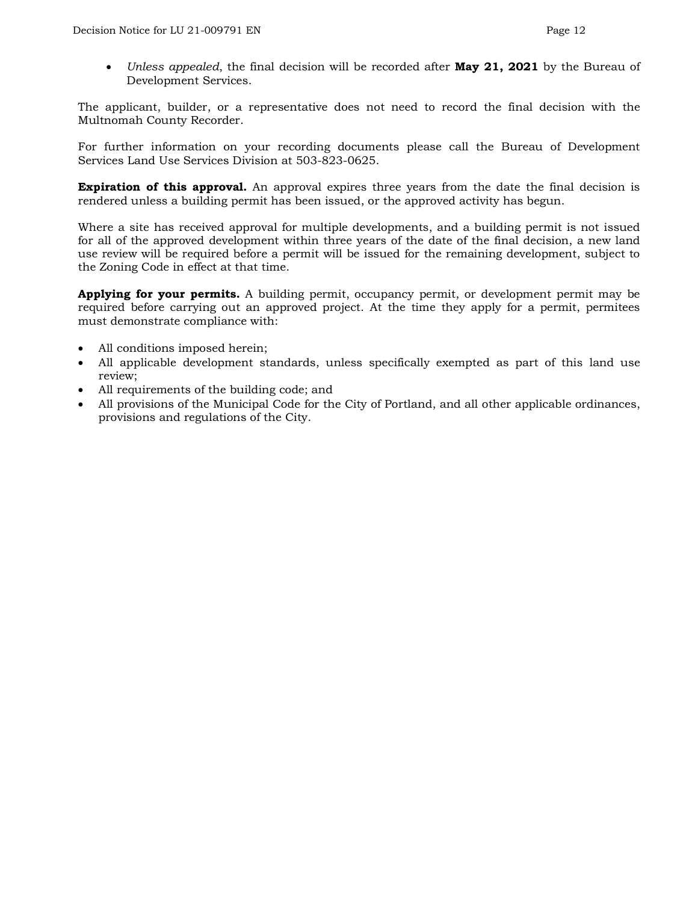• *Unless appealed*, the final decision will be recorded after **May 21, 2021** by the Bureau of Development Services.

The applicant, builder, or a representative does not need to record the final decision with the Multnomah County Recorder.

For further information on your recording documents please call the Bureau of Development Services Land Use Services Division at 503-823-0625.

**Expiration of this approval.** An approval expires three years from the date the final decision is rendered unless a building permit has been issued, or the approved activity has begun.

Where a site has received approval for multiple developments, and a building permit is not issued for all of the approved development within three years of the date of the final decision, a new land use review will be required before a permit will be issued for the remaining development, subject to the Zoning Code in effect at that time.

**Applying for your permits.** A building permit, occupancy permit, or development permit may be required before carrying out an approved project. At the time they apply for a permit, permitees must demonstrate compliance with:

- All conditions imposed herein;
- All applicable development standards, unless specifically exempted as part of this land use review;
- All requirements of the building code; and
- All provisions of the Municipal Code for the City of Portland, and all other applicable ordinances, provisions and regulations of the City.